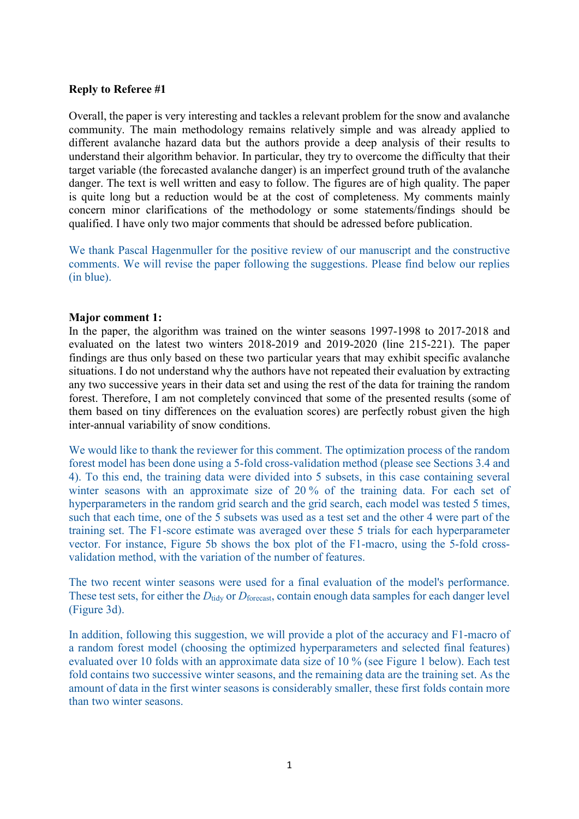# **Reply to Referee #1**

Overall, the paper is very interesting and tackles a relevant problem for the snow and avalanche community. The main methodology remains relatively simple and was already applied to different avalanche hazard data but the authors provide a deep analysis of their results to understand their algorithm behavior. In particular, they try to overcome the difficulty that their target variable (the forecasted avalanche danger) is an imperfect ground truth of the avalanche danger. The text is well written and easy to follow. The figures are of high quality. The paper is quite long but a reduction would be at the cost of completeness. My comments mainly concern minor clarifications of the methodology or some statements/findings should be qualified. I have only two major comments that should be adressed before publication.

We thank Pascal Hagenmuller for the positive review of our manuscript and the constructive comments. We will revise the paper following the suggestions. Please find below our replies (in blue).

# **Major comment 1:**

In the paper, the algorithm was trained on the winter seasons 1997-1998 to 2017-2018 and evaluated on the latest two winters 2018-2019 and 2019-2020 (line 215-221). The paper findings are thus only based on these two particular years that may exhibit specific avalanche situations. I do not understand why the authors have not repeated their evaluation by extracting any two successive years in their data set and using the rest of the data for training the random forest. Therefore, I am not completely convinced that some of the presented results (some of them based on tiny differences on the evaluation scores) are perfectly robust given the high inter-annual variability of snow conditions.

We would like to thank the reviewer for this comment. The optimization process of the random forest model has been done using a 5-fold cross-validation method (please see Sections 3.4 and 4). To this end, the training data were divided into 5 subsets, in this case containing several winter seasons with an approximate size of 20 % of the training data. For each set of hyperparameters in the random grid search and the grid search, each model was tested 5 times, such that each time, one of the 5 subsets was used as a test set and the other 4 were part of the training set. The F1-score estimate was averaged over these 5 trials for each hyperparameter vector. For instance, Figure 5b shows the box plot of the F1-macro, using the 5-fold crossvalidation method, with the variation of the number of features.

The two recent winter seasons were used for a final evaluation of the model's performance. These test sets, for either the *D*<sub>tidy</sub> or *D*<sub>forecast</sub>, contain enough data samples for each danger level (Figure 3d).

In addition, following this suggestion, we will provide a plot of the accuracy and F1-macro of a random forest model (choosing the optimized hyperparameters and selected final features) evaluated over 10 folds with an approximate data size of 10 % (see Figure 1 below). Each test fold contains two successive winter seasons, and the remaining data are the training set. As the amount of data in the first winter seasons is considerably smaller, these first folds contain more than two winter seasons.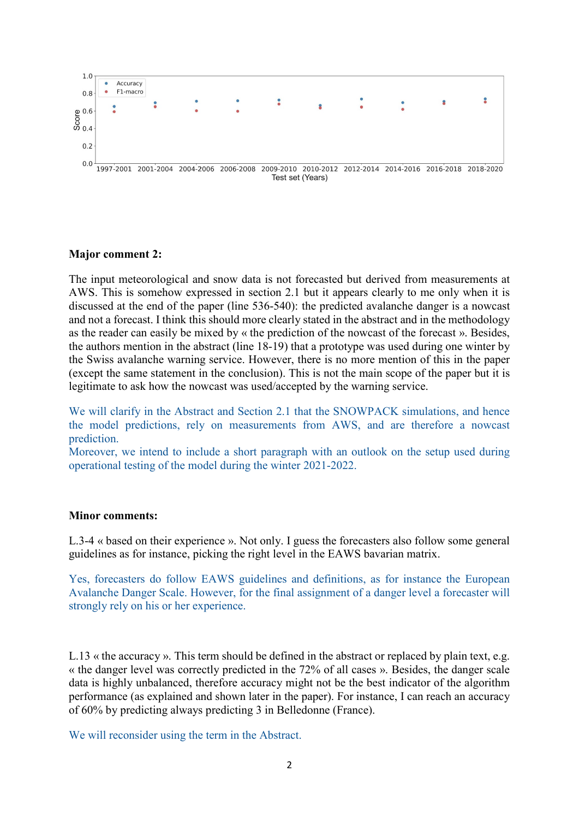

## **Major comment 2:**

The input meteorological and snow data is not forecasted but derived from measurements at AWS. This is somehow expressed in section 2.1 but it appears clearly to me only when it is discussed at the end of the paper (line 536-540): the predicted avalanche danger is a nowcast and not a forecast. I think this should more clearly stated in the abstract and in the methodology as the reader can easily be mixed by « the prediction of the nowcast of the forecast ». Besides, the authors mention in the abstract (line 18-19) that a prototype was used during one winter by the Swiss avalanche warning service. However, there is no more mention of this in the paper (except the same statement in the conclusion). This is not the main scope of the paper but it is legitimate to ask how the nowcast was used/accepted by the warning service.

We will clarify in the Abstract and Section 2.1 that the SNOWPACK simulations, and hence the model predictions, rely on measurements from AWS, and are therefore a nowcast prediction.

Moreover, we intend to include a short paragraph with an outlook on the setup used during operational testing of the model during the winter 2021-2022.

### **Minor comments:**

L.3-4 « based on their experience ». Not only. I guess the forecasters also follow some general guidelines as for instance, picking the right level in the EAWS bavarian matrix.

Yes, forecasters do follow EAWS guidelines and definitions, as for instance the European Avalanche Danger Scale. However, for the final assignment of a danger level a forecaster will strongly rely on his or her experience.

L.13 « the accuracy ». This term should be defined in the abstract or replaced by plain text, e.g. « the danger level was correctly predicted in the 72% of all cases ». Besides, the danger scale data is highly unbalanced, therefore accuracy might not be the best indicator of the algorithm performance (as explained and shown later in the paper). For instance, I can reach an accuracy of 60% by predicting always predicting 3 in Belledonne (France).

We will reconsider using the term in the Abstract.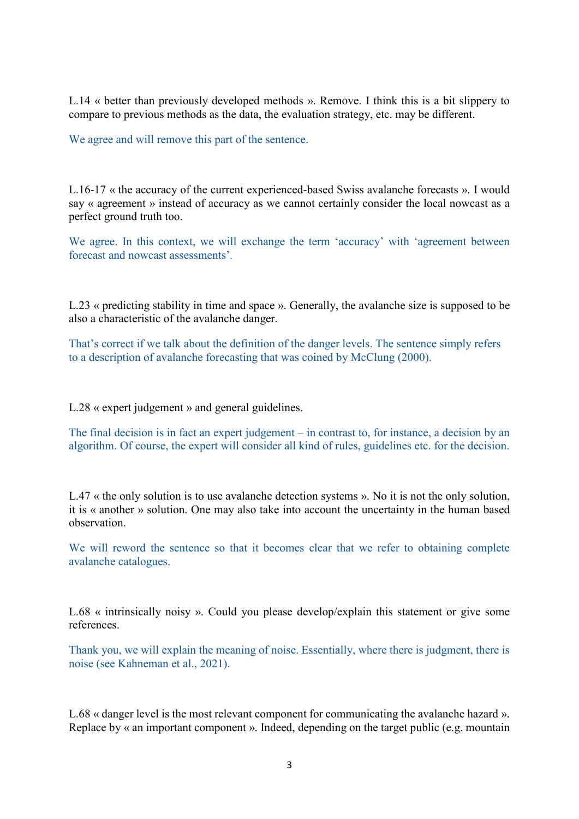L.14 « better than previously developed methods ». Remove. I think this is a bit slippery to compare to previous methods as the data, the evaluation strategy, etc. may be different.

We agree and will remove this part of the sentence.

L.16-17 « the accuracy of the current experienced-based Swiss avalanche forecasts ». I would say « agreement » instead of accuracy as we cannot certainly consider the local nowcast as a perfect ground truth too.

We agree. In this context, we will exchange the term 'accuracy' with 'agreement between forecast and nowcast assessments'.

L.23 « predicting stability in time and space ». Generally, the avalanche size is supposed to be also a characteristic of the avalanche danger.

That's correct if we talk about the definition of the danger levels. The sentence simply refers to a description of avalanche forecasting that was coined by McClung (2000).

L.28 « expert judgement » and general guidelines.

The final decision is in fact an expert judgement – in contrast to, for instance, a decision by an algorithm. Of course, the expert will consider all kind of rules, guidelines etc. for the decision.

L.47 « the only solution is to use avalanche detection systems ». No it is not the only solution, it is « another » solution. One may also take into account the uncertainty in the human based observation.

We will reword the sentence so that it becomes clear that we refer to obtaining complete avalanche catalogues.

L.68 « intrinsically noisy ». Could you please develop/explain this statement or give some references.

Thank you, we will explain the meaning of noise. Essentially, where there is judgment, there is noise (see Kahneman et al., 2021).

L.68 « danger level is the most relevant component for communicating the avalanche hazard ». Replace by « an important component ». Indeed, depending on the target public (e.g. mountain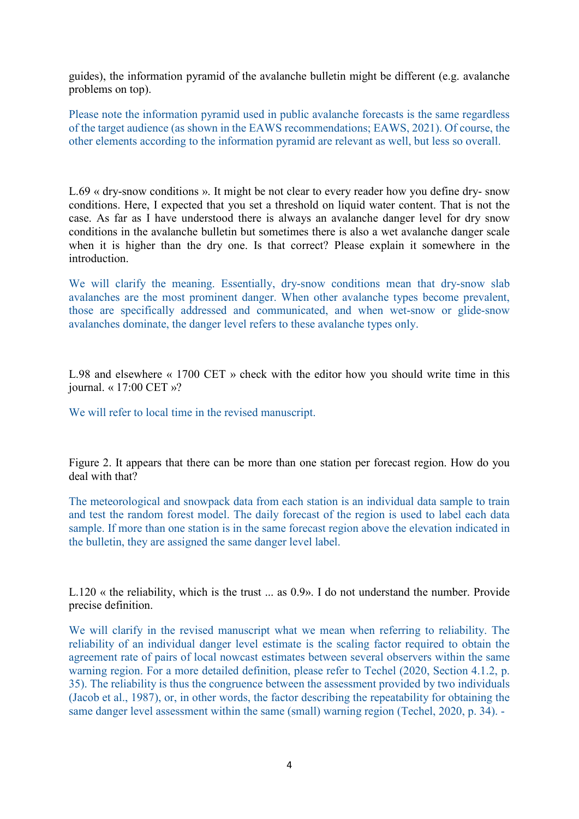guides), the information pyramid of the avalanche bulletin might be different (e.g. avalanche problems on top).

Please note the information pyramid used in public avalanche forecasts is the same regardless of the target audience (as shown in the EAWS recommendations; EAWS, 2021). Of course, the other elements according to the information pyramid are relevant as well, but less so overall.

L.69 « dry-snow conditions ». It might be not clear to every reader how you define dry- snow conditions. Here, I expected that you set a threshold on liquid water content. That is not the case. As far as I have understood there is always an avalanche danger level for dry snow conditions in the avalanche bulletin but sometimes there is also a wet avalanche danger scale when it is higher than the dry one. Is that correct? Please explain it somewhere in the introduction.

We will clarify the meaning. Essentially, dry-snow conditions mean that dry-snow slab avalanches are the most prominent danger. When other avalanche types become prevalent, those are specifically addressed and communicated, and when wet-snow or glide-snow avalanches dominate, the danger level refers to these avalanche types only.

L.98 and elsewhere « 1700 CET » check with the editor how you should write time in this journal. « 17:00 CET »?

We will refer to local time in the revised manuscript.

Figure 2. It appears that there can be more than one station per forecast region. How do you deal with that?

The meteorological and snowpack data from each station is an individual data sample to train and test the random forest model. The daily forecast of the region is used to label each data sample. If more than one station is in the same forecast region above the elevation indicated in the bulletin, they are assigned the same danger level label.

L.120 « the reliability, which is the trust ... as 0.9». I do not understand the number. Provide precise definition.

We will clarify in the revised manuscript what we mean when referring to reliability. The reliability of an individual danger level estimate is the scaling factor required to obtain the agreement rate of pairs of local nowcast estimates between several observers within the same warning region. For a more detailed definition, please refer to Techel (2020, Section 4.1.2, p. 35). The reliability is thus the congruence between the assessment provided by two individuals (Jacob et al., 1987), or, in other words, the factor describing the repeatability for obtaining the same danger level assessment within the same (small) warning region (Techel, 2020, p. 34). -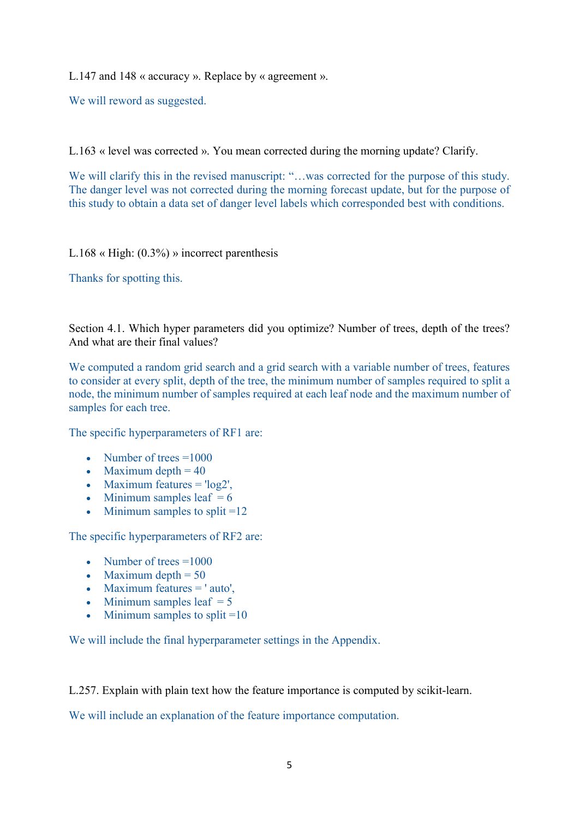L.147 and 148 « accuracy ». Replace by « agreement ».

We will reword as suggested.

L.163 « level was corrected ». You mean corrected during the morning update? Clarify.

We will clarify this in the revised manuscript: "...was corrected for the purpose of this study. The danger level was not corrected during the morning forecast update, but for the purpose of this study to obtain a data set of danger level labels which corresponded best with conditions.

L.168 « High: (0.3%) » incorrect parenthesis

Thanks for spotting this.

Section 4.1. Which hyper parameters did you optimize? Number of trees, depth of the trees? And what are their final values?

We computed a random grid search and a grid search with a variable number of trees, features to consider at every split, depth of the tree, the minimum number of samples required to split a node, the minimum number of samples required at each leaf node and the maximum number of samples for each tree.

The specific hyperparameters of RF1 are:

- Number of trees  $=1000$
- Maximum depth  $= 40$
- Maximum features  $=$  'log2',
- Minimum samples leaf  $= 6$
- Minimum samples to split  $=12$

The specific hyperparameters of RF2 are:

- Number of trees  $=1000$
- Maximum depth  $= 50$
- Maximum features = ' auto',
- Minimum samples leaf  $= 5$
- Minimum samples to split  $=10$

We will include the final hyperparameter settings in the Appendix.

L.257. Explain with plain text how the feature importance is computed by scikit-learn.

We will include an explanation of the feature importance computation.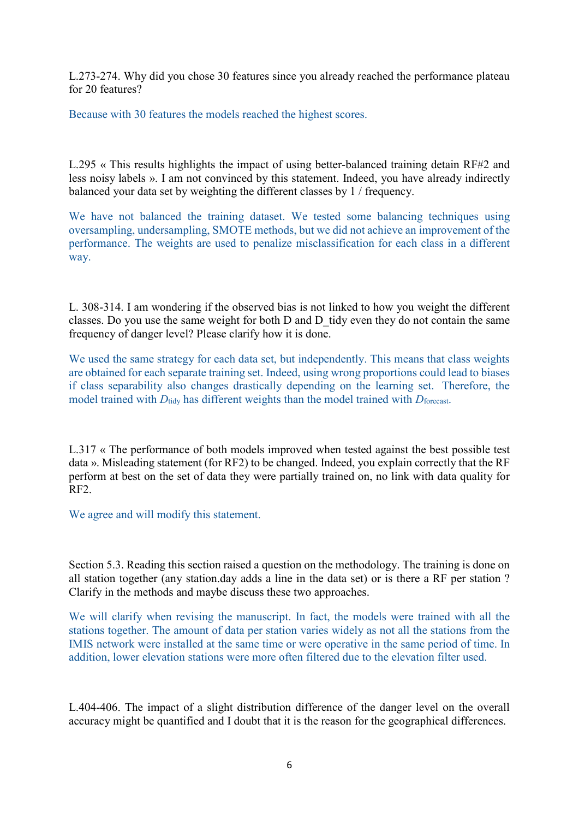L.273-274. Why did you chose 30 features since you already reached the performance plateau for 20 features?

Because with 30 features the models reached the highest scores.

L.295 « This results highlights the impact of using better-balanced training detain RF#2 and less noisy labels ». I am not convinced by this statement. Indeed, you have already indirectly balanced your data set by weighting the different classes by 1 / frequency.

We have not balanced the training dataset. We tested some balancing techniques using oversampling, undersampling, SMOTE methods, but we did not achieve an improvement of the performance. The weights are used to penalize misclassification for each class in a different way.

L. 308-314. I am wondering if the observed bias is not linked to how you weight the different classes. Do you use the same weight for both D and D\_tidy even they do not contain the same frequency of danger level? Please clarify how it is done.

We used the same strategy for each data set, but independently. This means that class weights are obtained for each separate training set. Indeed, using wrong proportions could lead to biases if class separability also changes drastically depending on the learning set. Therefore, the model trained with  $D_{\text{tidy}}$  has different weights than the model trained with  $D_{\text{forecast}}$ .

L.317 « The performance of both models improved when tested against the best possible test data ». Misleading statement (for RF2) to be changed. Indeed, you explain correctly that the RF perform at best on the set of data they were partially trained on, no link with data quality for RF2.

We agree and will modify this statement.

Section 5.3. Reading this section raised a question on the methodology. The training is done on all station together (any station.day adds a line in the data set) or is there a RF per station ? Clarify in the methods and maybe discuss these two approaches.

We will clarify when revising the manuscript. In fact, the models were trained with all the stations together. The amount of data per station varies widely as not all the stations from the IMIS network were installed at the same time or were operative in the same period of time. In addition, lower elevation stations were more often filtered due to the elevation filter used.

L.404-406. The impact of a slight distribution difference of the danger level on the overall accuracy might be quantified and I doubt that it is the reason for the geographical differences.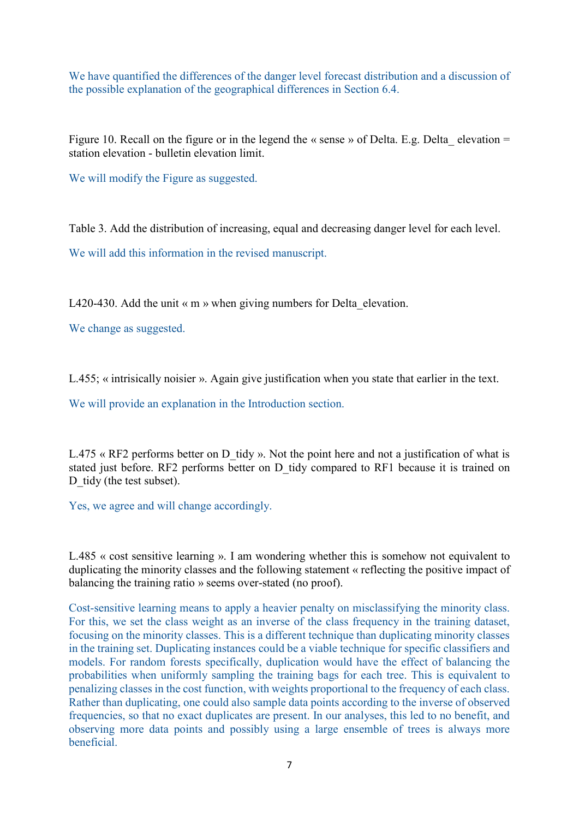We have quantified the differences of the danger level forecast distribution and a discussion of the possible explanation of the geographical differences in Section 6.4.

Figure 10. Recall on the figure or in the legend the « sense » of Delta. E.g. Delta elevation = station elevation - bulletin elevation limit.

We will modify the Figure as suggested.

Table 3. Add the distribution of increasing, equal and decreasing danger level for each level.

We will add this information in the revised manuscript.

L420-430. Add the unit  $\ll m$  » when giving numbers for Delta elevation.

We change as suggested.

L.455; « intrisically noisier ». Again give justification when you state that earlier in the text.

We will provide an explanation in the Introduction section.

L.475 « RF2 performs better on D tidy ». Not the point here and not a justification of what is stated just before. RF2 performs better on D\_tidy compared to RF1 because it is trained on D tidy (the test subset).

Yes, we agree and will change accordingly.

L.485 « cost sensitive learning ». I am wondering whether this is somehow not equivalent to duplicating the minority classes and the following statement « reflecting the positive impact of balancing the training ratio » seems over-stated (no proof).

Cost-sensitive learning means to apply a heavier penalty on misclassifying the minority class. For this, we set the class weight as an inverse of the class frequency in the training dataset, focusing on the minority classes. This is a different technique than duplicating minority classes in the training set. Duplicating instances could be a viable technique for specific classifiers and models. For random forests specifically, duplication would have the effect of balancing the probabilities when uniformly sampling the training bags for each tree. This is equivalent to penalizing classes in the cost function, with weights proportional to the frequency of each class. Rather than duplicating, one could also sample data points according to the inverse of observed frequencies, so that no exact duplicates are present. In our analyses, this led to no benefit, and observing more data points and possibly using a large ensemble of trees is always more beneficial.